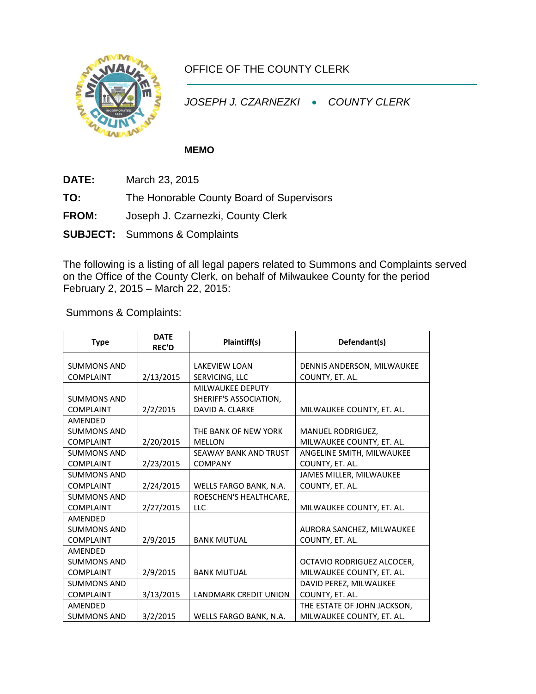

## OFFICE OF THE COUNTY CLERK

*JOSEPH J. CZARNEZKI* • *COUNTY CLERK*

## **MEMO**

- **DATE:** March 23, 2015
- **TO:** The Honorable County Board of Supervisors
- **FROM:** Joseph J. Czarnezki, County Clerk
- **SUBJECT:** Summons & Complaints

The following is a listing of all legal papers related to Summons and Complaints served on the Office of the County Clerk, on behalf of Milwaukee County for the period February 2, 2015 – March 22, 2015:

Summons & Complaints:

| <b>Type</b>                                       | <b>DATE</b><br><b>REC'D</b> | Plaintiff(s)                                                  | Defendant(s)                                             |  |
|---------------------------------------------------|-----------------------------|---------------------------------------------------------------|----------------------------------------------------------|--|
| <b>SUMMONS AND</b><br><b>COMPLAINT</b>            | 2/13/2015                   | <b>LAKEVIEW LOAN</b><br>SERVICING, LLC                        | DENNIS ANDERSON, MILWAUKEE<br>COUNTY, ET. AL.            |  |
| <b>SUMMONS AND</b><br><b>COMPLAINT</b>            | 2/2/2015                    | MILWAUKEE DEPUTY<br>SHERIFF'S ASSOCIATION,<br>DAVID A. CLARKE | MILWAUKEE COUNTY, ET. AL.                                |  |
| AMENDED<br><b>SUMMONS AND</b><br><b>COMPLAINT</b> | 2/20/2015                   | THE BANK OF NEW YORK<br><b>MELLON</b>                         | <b>MANUEL RODRIGUEZ,</b><br>MILWAUKEE COUNTY, ET. AL.    |  |
| <b>SUMMONS AND</b><br><b>COMPLAINT</b>            | 2/23/2015                   | <b>SEAWAY BANK AND TRUST</b><br><b>COMPANY</b>                | ANGELINE SMITH, MILWAUKEE<br>COUNTY, ET. AL.             |  |
| <b>SUMMONS AND</b><br><b>COMPLAINT</b>            | 2/24/2015                   | WELLS FARGO BANK, N.A.                                        | JAMES MILLER, MILWAUKEE<br>COUNTY, ET. AL.               |  |
| <b>SUMMONS AND</b><br><b>COMPLAINT</b>            | 2/27/2015                   | ROESCHEN'S HEALTHCARE,<br><b>LLC</b>                          | MILWAUKEE COUNTY, ET. AL.                                |  |
| AMENDED<br><b>SUMMONS AND</b><br><b>COMPLAINT</b> | 2/9/2015                    | <b>BANK MUTUAL</b>                                            | AURORA SANCHEZ, MILWAUKEE<br>COUNTY, ET. AL.             |  |
| AMENDED<br><b>SUMMONS AND</b><br><b>COMPLAINT</b> | 2/9/2015                    | <b>BANK MUTUAL</b>                                            | OCTAVIO RODRIGUEZ ALCOCER,<br>MILWAUKEE COUNTY, ET. AL.  |  |
| <b>SUMMONS AND</b><br><b>COMPLAINT</b>            | 3/13/2015                   | <b>LANDMARK CREDIT UNION</b>                                  | DAVID PEREZ, MILWAUKEE<br>COUNTY, ET. AL.                |  |
| AMENDED<br><b>SUMMONS AND</b>                     | 3/2/2015                    | WELLS FARGO BANK, N.A.                                        | THE ESTATE OF JOHN JACKSON,<br>MILWAUKEE COUNTY, ET. AL. |  |